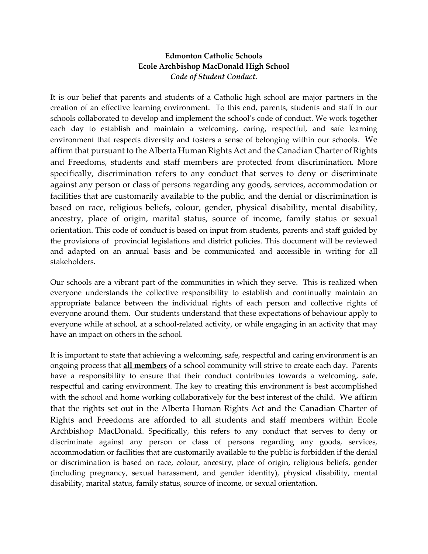# **Edmonton Catholic Schools Ecole Archbishop MacDonald High School** *Code of Student Conduct.*

It is our belief that parents and students of a Catholic high school are major partners in the creation of an effective learning environment. To this end, parents, students and staff in our schools collaborated to develop and implement the school's code of conduct. We work together each day to establish and maintain a welcoming, caring, respectful, and safe learning environment that respects diversity and fosters a sense of belonging within our schools. We affirm that pursuant to the Alberta Human Rights Act and the Canadian Charter of Rights and Freedoms, students and staff members are protected from discrimination. More specifically, discrimination refers to any conduct that serves to deny or discriminate against any person or class of persons regarding any goods, services, accommodation or facilities that are customarily available to the public, and the denial or discrimination is based on race, religious beliefs, colour, gender, physical disability, mental disability, ancestry, place of origin, marital status, source of income, family status or sexual orientation. This code of conduct is based on input from students, parents and staff guided by the provisions of provincial legislations and district policies. This document will be reviewed and adapted on an annual basis and be communicated and accessible in writing for all stakeholders.

Our schools are a vibrant part of the communities in which they serve. This is realized when everyone understands the collective responsibility to establish and continually maintain an appropriate balance between the individual rights of each person and collective rights of everyone around them. Our students understand that these expectations of behaviour apply to everyone while at school, at a school-related activity, or while engaging in an activity that may have an impact on others in the school.

It is important to state that achieving a welcoming, safe, respectful and caring environment is an ongoing process that **all members** of a school community will strive to create each day. Parents have a responsibility to ensure that their conduct contributes towards a welcoming, safe, respectful and caring environment. The key to creating this environment is best accomplished with the school and home working collaboratively for the best interest of the child. We affirm that the rights set out in the Alberta Human Rights Act and the Canadian Charter of Rights and Freedoms are afforded to all students and staff members within Ecole Archbishop MacDonald. Specifically, this refers to any conduct that serves to deny or discriminate against any person or class of persons regarding any goods, services, accommodation or facilities that are customarily available to the public is forbidden if the denial or discrimination is based on race, colour, ancestry, place of origin, religious beliefs, gender (including pregnancy, sexual harassment, and gender identity), physical disability, mental disability, marital status, family status, source of income, or sexual orientation.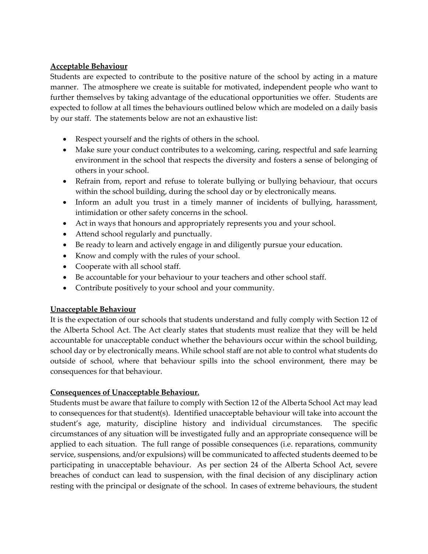### **Acceptable Behaviour**

Students are expected to contribute to the positive nature of the school by acting in a mature manner. The atmosphere we create is suitable for motivated, independent people who want to further themselves by taking advantage of the educational opportunities we offer. Students are expected to follow at all times the behaviours outlined below which are modeled on a daily basis by our staff. The statements below are not an exhaustive list:

- Respect yourself and the rights of others in the school.
- Make sure your conduct contributes to a welcoming, caring, respectful and safe learning environment in the school that respects the diversity and fosters a sense of belonging of others in your school.
- Refrain from, report and refuse to tolerate bullying or bullying behaviour, that occurs within the school building, during the school day or by electronically means.
- Inform an adult you trust in a timely manner of incidents of bullying, harassment, intimidation or other safety concerns in the school.
- Act in ways that honours and appropriately represents you and your school.
- Attend school regularly and punctually.
- Be ready to learn and actively engage in and diligently pursue your education.
- Know and comply with the rules of your school.
- Cooperate with all school staff.
- Be accountable for your behaviour to your teachers and other school staff.
- Contribute positively to your school and your community.

# **Unacceptable Behaviour**

It is the expectation of our schools that students understand and fully comply with Section 12 of the Alberta School Act. The Act clearly states that students must realize that they will be held accountable for unacceptable conduct whether the behaviours occur within the school building, school day or by electronically means. While school staff are not able to control what students do outside of school, where that behaviour spills into the school environment, there may be consequences for that behaviour.

# **Consequences of Unacceptable Behaviour.**

Students must be aware that failure to comply with Section 12 of the Alberta School Act may lead to consequences for that student(s). Identified unacceptable behaviour will take into account the student's age, maturity, discipline history and individual circumstances. The specific circumstances of any situation will be investigated fully and an appropriate consequence will be applied to each situation. The full range of possible consequences (i.e. reparations, community service, suspensions, and/or expulsions) will be communicated to affected students deemed to be participating in unacceptable behaviour. As per section 24 of the Alberta School Act, severe breaches of conduct can lead to suspension, with the final decision of any disciplinary action resting with the principal or designate of the school. In cases of extreme behaviours, the student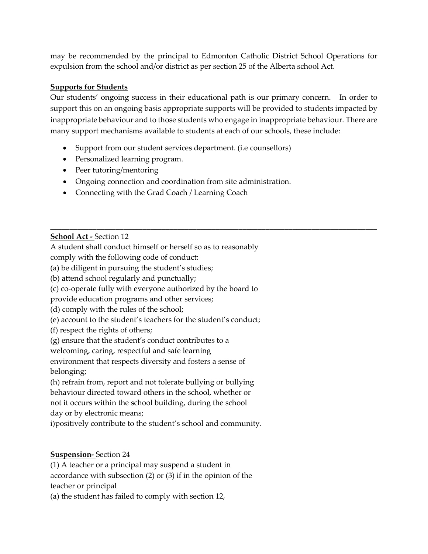may be recommended by the principal to Edmonton Catholic District School Operations for expulsion from the school and/or district as per section 25 of the Alberta school Act.

### **Supports for Students**

Our students' ongoing success in their educational path is our primary concern. In order to support this on an ongoing basis appropriate supports will be provided to students impacted by inappropriate behaviour and to those students who engage in inappropriate behaviour. There are many support mechanisms available to students at each of our schools, these include:

\_\_\_\_\_\_\_\_\_\_\_\_\_\_\_\_\_\_\_\_\_\_\_\_\_\_\_\_\_\_\_\_\_\_\_\_\_\_\_\_\_\_\_\_\_\_\_\_\_\_\_\_\_\_\_\_\_\_\_\_\_\_\_\_\_\_\_\_\_\_\_\_\_\_\_\_\_\_\_\_\_\_\_\_\_

- Support from our student services department. (i.e counsellors)
- Personalized learning program.
- Peer tutoring/mentoring
- Ongoing connection and coordination from site administration.
- Connecting with the Grad Coach / Learning Coach

**School Act -** Section 12

A student shall conduct himself or herself so as to reasonably

comply with the following code of conduct:

(a) be diligent in pursuing the student's studies;

(b) attend school regularly and punctually;

(c) co-operate fully with everyone authorized by the board to

provide education programs and other services;

(d) comply with the rules of the school;

(e) account to the student's teachers for the student's conduct;

(f) respect the rights of others;

(g) ensure that the student's conduct contributes to a

welcoming, caring, respectful and safe learning

environment that respects diversity and fosters a sense of belonging;

(h) refrain from, report and not tolerate bullying or bullying behaviour directed toward others in the school, whether or not it occurs within the school building, during the school day or by electronic means;

i)positively contribute to the student's school and community.

# **Suspension-** Section 24

(1) A teacher or a principal may suspend a student in accordance with subsection (2) or (3) if in the opinion of the teacher or principal

(a) the student has failed to comply with section 12,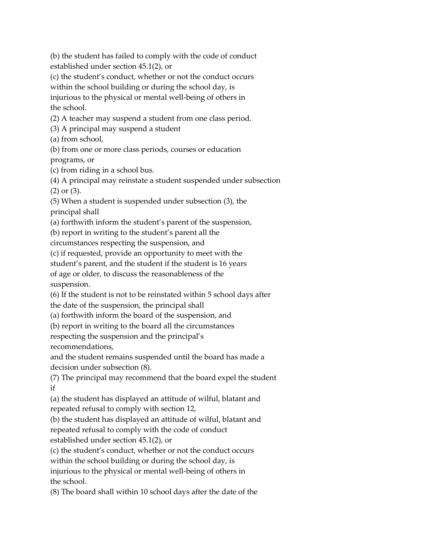(b) the student has failed to comply with the code of conduct established under section 45.1(2), or

(c) the student's conduct, whether or not the conduct occurs within the school building or during the school day, is injurious to the physical or mental well-being of others in the school.

(2) A teacher may suspend a student from one class period.

(3) A principal may suspend a student

(a) from school,

(b) from one or more class periods, courses or education

programs, or

(c) from riding in a school bus.

(4) A principal may reinstate a student suspended under subsection (2) or (3).

(5) When a student is suspended under subsection (3), the principal shall

(a) forthwith inform the student's parent of the suspension,

(b) report in writing to the student's parent all the

circumstances respecting the suspension, and

(c) if requested, provide an opportunity to meet with the

student's parent, and the student if the student is 16 years

of age or older, to discuss the reasonableness of the

suspension.

(6) If the student is not to be reinstated within 5 school days after the date of the suspension, the principal shall

(a) forthwith inform the board of the suspension, and

(b) report in writing to the board all the circumstances

respecting the suspension and the principal's recommendations,

and the student remains suspended until the board has made a decision under subsection (8).

(7) The principal may recommend that the board expel the student if

(a) the student has displayed an attitude of wilful, blatant and repeated refusal to comply with section 12,

(b) the student has displayed an attitude of wilful, blatant and repeated refusal to comply with the code of conduct established under section 45.1(2), or

(c) the student's conduct, whether or not the conduct occurs within the school building or during the school day, is injurious to the physical or mental well-being of others in the school.

(8) The board shall within 10 school days after the date of the